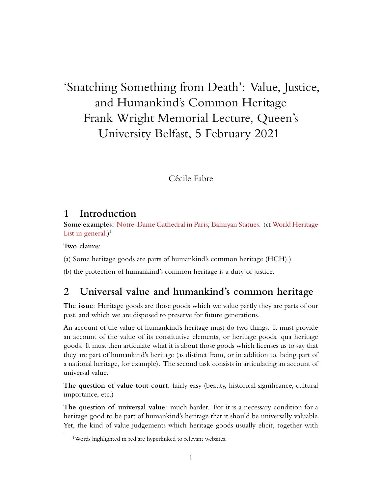# 'Snatching Something from Death': Value, Justice, and Humankind's Common Heritage Frank Wright Memorial Lecture, Queen's University Belfast, 5 February 2021

Cécile Fabre

### **1 Introduction**

**Some examples:** [Notre-Dame Cathedral in Paris](https://whc.unesco.org/en/list/600); [Bamiyan Statues](https://whc.unesco.org/en/list/208/). (cf [World Heritage](https://whc.unesco.org/en/list/) [List in general.](https://whc.unesco.org/en/list/))<sup>[1](#page-0-0)</sup>

**Two claims**:

(a) Some heritage goods are parts of humankind's common heritage (HCH).)

(b) the protection of humankind's common heritage is a duty of justice.

## **2 Universal value and humankind's common heritage**

**The issue**: Heritage goods are those goods which we value partly they are parts of our past, and which we are disposed to preserve for future generations.

An account of the value of humankind's heritage must do two things. It must provide an account of the value of its constitutive elements, or heritage goods, qua heritage goods. It must then articulate what it is about those goods which licenses us to say that they are part of humankind's heritage (as distinct from, or in addition to, being part of a national heritage, for example). The second task consists in articulating an account of universal value.

**The question of value tout court**: fairly easy (beauty, historical significance, cultural importance, etc.)

**The question of universal value**: much harder. For it is a necessary condition for a heritage good to be part of humankind's heritage that it should be universally valuable. Yet, the kind of value judgements which heritage goods usually elicit, together with

<span id="page-0-0"></span><sup>&</sup>lt;sup>1</sup>Words highlighted in red are hyperlinked to relevant websites.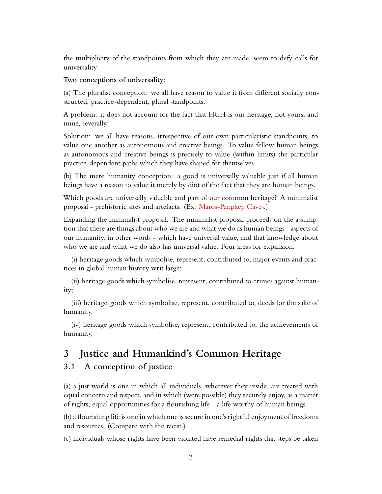the multiplicity of the standpoints from which they are made, seem to defy calls for universality.

#### **Two conceptions of universality**:

(a) The pluralist conception: we all have reason to value it from different socially constructed, practice-dependent, plural standpoints.

A problem: it does not account for the fact that HCH is our heritage, not yours, and mine, severally.

Solution: we all have reasons, irrespective of our own particularistic standpoints, to value one another as autonomous and creative beings. To value fellow human beings as autonomous and creative beings is precisely to value (within limits) the particular practice-dependent paths which they have shaped for themselves.

(b) The mere humanity conception: a good is universally valuable just if all human beings have a reason to value it merely by dint of the fact that they are human beings.

Which goods are universally valuable and part of our common heritage? A minimalist proposal - prehistoric sites and artefacts. (Ex: [Maros-Pangkep Caves](https://whc.unesco.org/en/tentativelists/5467/).)

Expanding the minimalist proposal. The minimalist proposal proceeds on the assumption that there are things about who we are and what we do as human beings - aspects of our humanity, in other words - which have universal value, and that knowledge about who we are and what we do also has universal value. Four areas for expansion:

(i) heritage goods which symbolise, represent, contributed to, major events and practices in global human history writ large;

(ii) heritage goods which symbolise, represent, contributed to crimes against humanity;

(iii) heritage goods which symbolise, represent, contributed to, deeds for the sake of humanity.

(iv) heritage goods which symbolise, represent, contributed to, the achievements of humanity.

## **3 Justice and Humankind's Common Heritage**

### **3.1 A conception of justice**

(a) a just world is one in which all individuals, wherever they reside, are treated with equal concern and respect, and in which (were possible) they securely enjoy, as a matter of rights, equal opportunities for a flourishing life - a life worthy of human beings.

(b) a flourishing life is one in which one is secure in one's rightful enjoyment of freedoms and resources. (Compare with the racist.)

(c) individuals whose rights have been violated have remedial rights that steps be taken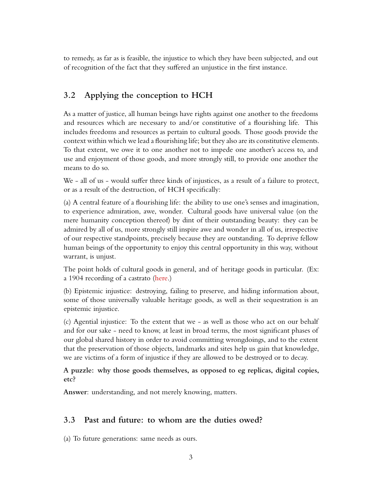to remedy, as far as is feasible, the injustice to which they have been subjected, and out of recognition of the fact that they suffered an unjustice in the first instance.

### **3.2 Applying the conception to HCH**

As a matter of justice, all human beings have rights against one another to the freedoms and resources which are necessary to and/or constitutive of a flourishing life. This includes freedoms and resources as pertain to cultural goods. Those goods provide the context within which we lead a flourishing life; but they also are its constitutive elements. To that extent, we owe it to one another not to impede one another's access to, and use and enjoyment of those goods, and more strongly still, to provide one another the means to do so.

We - all of us - would suffer three kinds of injustices, as a result of a failure to protect, or as a result of the destruction, of HCH specifically:

(a) A central feature of a flourishing life: the ability to use one's senses and imagination, to experience admiration, awe, wonder. Cultural goods have universal value (on the mere humanity conception thereof) by dint of their outstanding beauty: they can be admired by all of us, more strongly still inspire awe and wonder in all of us, irrespective of our respective standpoints, precisely because they are outstanding. To deprive fellow human beings of the opportunity to enjoy this central opportunity in this way, without warrant, is unjust.

The point holds of cultural goods in general, and of heritage goods in particular. (Ex: a 1904 recording of a castrato [\(here.](https://archive.org/details/AlessandroMoreschi))

(b) Epistemic injustice: destroying, failing to preserve, and hiding information about, some of those universally valuable heritage goods, as well as their sequestration is an epistemic injustice.

(c) Agential injustice: To the extent that we - as well as those who act on our behalf and for our sake - need to know, at least in broad terms, the most significant phases of our global shared history in order to avoid committing wrongdoings, and to the extent that the preservation of those objects, landmarks and sites help us gain that knowledge, we are victims of a form of injustice if they are allowed to be destroyed or to decay.

**A puzzle: why those goods themselves, as opposed to eg replicas, digital copies, etc?**

**Answer**: understanding, and not merely knowing, matters.

### **3.3 Past and future: to whom are the duties owed?**

(a) To future generations: same needs as ours.